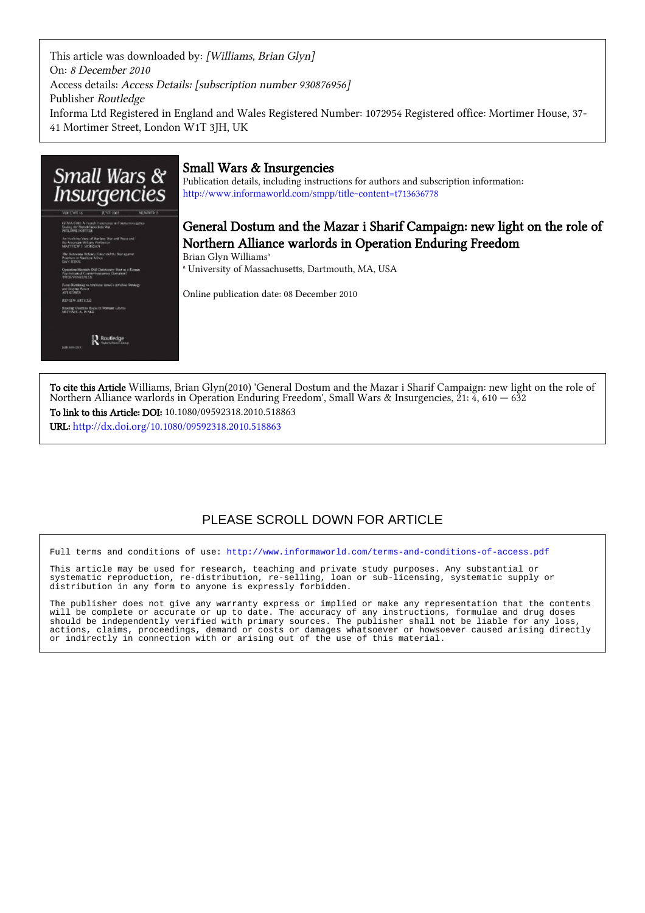This article was downloaded by: [Williams, Brian Glyn] On: 8 December 2010 Access details: Access Details: [subscription number 930876956] Publisher Routledge Informa Ltd Registered in England and Wales Registered Number: 1072954 Registered office: Mortimer House, 37- 41 Mortimer Street, London W1T 3JH, UK



# Small Wars & Insurgencies

Publication details, including instructions for authors and subscription information: <http://www.informaworld.com/smpp/title~content=t713636778>

# General Dostum and the Mazar i Sharif Campaign: new light on the role of Northern Alliance warlords in Operation Enduring Freedom Brian Glyn Williams<sup>a</sup>

a University of Massachusetts, Dartmouth, MA, USA

Online publication date: 08 December 2010

To cite this Article Williams, Brian Glyn(2010) 'General Dostum and the Mazar i Sharif Campaign: new light on the role of Northern Alliance warlords in Operation Enduring Freedom', Small Wars & Insurgencies, 21: 4, 610 — 632 To link to this Article: DOI: 10.1080/09592318.2010.518863

URL: <http://dx.doi.org/10.1080/09592318.2010.518863>

# PLEASE SCROLL DOWN FOR ARTICLE

Full terms and conditions of use:<http://www.informaworld.com/terms-and-conditions-of-access.pdf>

This article may be used for research, teaching and private study purposes. Any substantial or systematic reproduction, re-distribution, re-selling, loan or sub-licensing, systematic supply or distribution in any form to anyone is expressly forbidden.

The publisher does not give any warranty express or implied or make any representation that the contents will be complete or accurate or up to date. The accuracy of any instructions, formulae and drug doses should be independently verified with primary sources. The publisher shall not be liable for any loss, actions, claims, proceedings, demand or costs or damages whatsoever or howsoever caused arising directly or indirectly in connection with or arising out of the use of this material.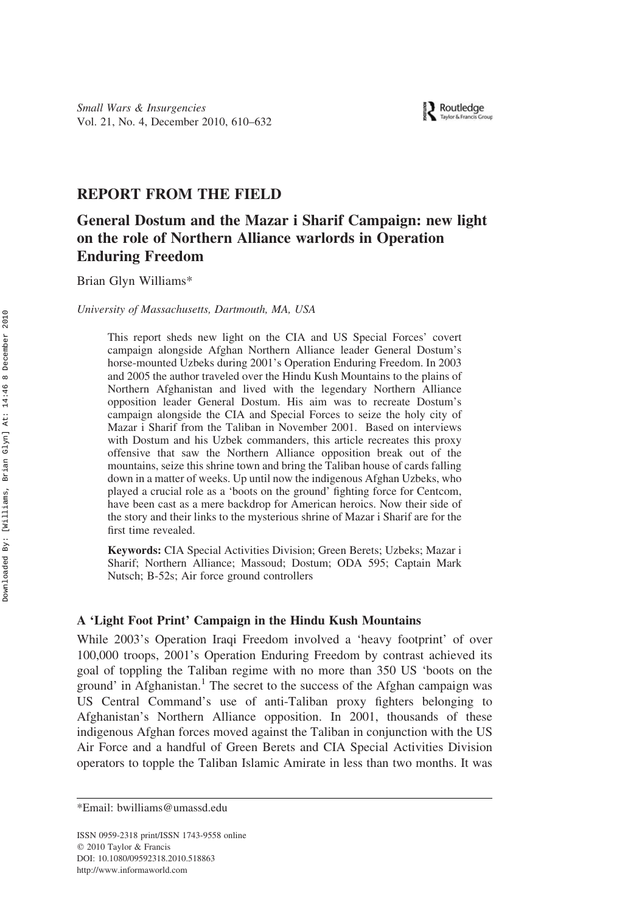

# REPORT FROM THE FIELD

# General Dostum and the Mazar i Sharif Campaign: new light on the role of Northern Alliance warlords in Operation Enduring Freedom

Brian Glyn Williams\*

University of Massachusetts, Dartmouth, MA, USA

This report sheds new light on the CIA and US Special Forces' covert campaign alongside Afghan Northern Alliance leader General Dostum's horse-mounted Uzbeks during 2001's Operation Enduring Freedom. In 2003 and 2005 the author traveled over the Hindu Kush Mountains to the plains of Northern Afghanistan and lived with the legendary Northern Alliance opposition leader General Dostum. His aim was to recreate Dostum's campaign alongside the CIA and Special Forces to seize the holy city of Mazar i Sharif from the Taliban in November 2001. Based on interviews with Dostum and his Uzbek commanders, this article recreates this proxy offensive that saw the Northern Alliance opposition break out of the mountains, seize this shrine town and bring the Taliban house of cards falling down in a matter of weeks. Up until now the indigenous Afghan Uzbeks, who played a crucial role as a 'boots on the ground' fighting force for Centcom, have been cast as a mere backdrop for American heroics. Now their side of the story and their links to the mysterious shrine of Mazar i Sharif are for the first time revealed.

Keywords: CIA Special Activities Division; Green Berets; Uzbeks; Mazar i Sharif; Northern Alliance; Massoud; Dostum; ODA 595; Captain Mark Nutsch; B-52s; Air force ground controllers

### A 'Light Foot Print' Campaign in the Hindu Kush Mountains

While 2003's Operation Iraqi Freedom involved a 'heavy footprint' of over 100,000 troops, 2001's Operation Enduring Freedom by contrast achieved its goal of toppling the Taliban regime with no more than 350 US 'boots on the ground' in Afghanistan.<sup>1</sup> The secret to the success of the Afghan campaign was US Central Command's use of anti-Taliban proxy fighters belonging to Afghanistan's Northern Alliance opposition. In 2001, thousands of these indigenous Afghan forces moved against the Taliban in conjunction with the US Air Force and a handful of Green Berets and CIA Special Activities Division operators to topple the Taliban Islamic Amirate in less than two months. It was

ISSN 0959-2318 print/ISSN 1743-9558 online  $© 2010 Taylor & Francis$ DOI: 10.1080/09592318.2010.518863 http://www.informaworld.com

<sup>\*</sup>Email: bwilliams@umassd.edu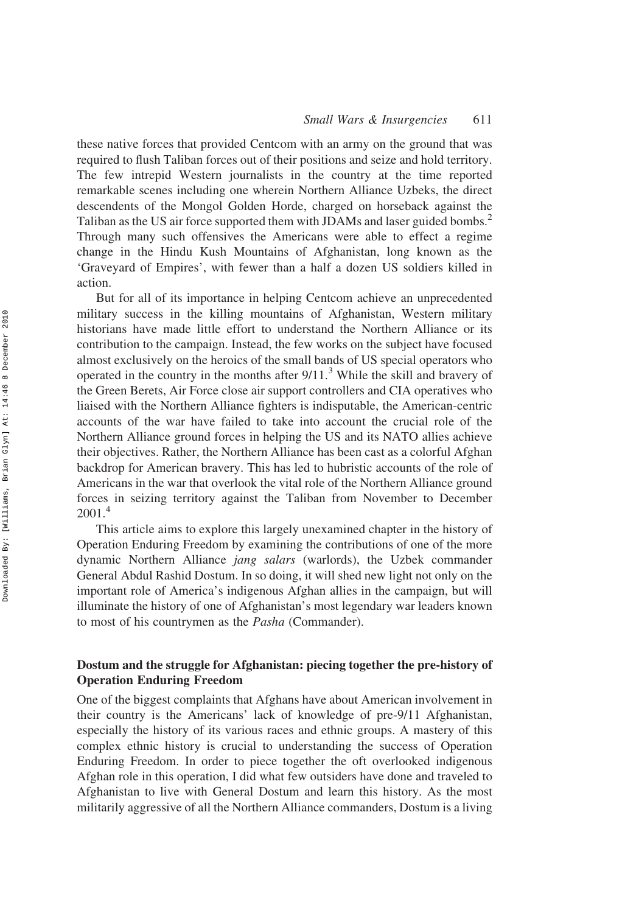these native forces that provided Centcom with an army on the ground that was required to flush Taliban forces out of their positions and seize and hold territory. The few intrepid Western journalists in the country at the time reported remarkable scenes including one wherein Northern Alliance Uzbeks, the direct descendents of the Mongol Golden Horde, charged on horseback against the Taliban as the US air force supported them with JDAMs and laser guided bombs.<sup>2</sup> Through many such offensives the Americans were able to effect a regime change in the Hindu Kush Mountains of Afghanistan, long known as the 'Graveyard of Empires', with fewer than a half a dozen US soldiers killed in action.

But for all of its importance in helping Centcom achieve an unprecedented military success in the killing mountains of Afghanistan, Western military historians have made little effort to understand the Northern Alliance or its contribution to the campaign. Instead, the few works on the subject have focused almost exclusively on the heroics of the small bands of US special operators who operated in the country in the months after 9/11.3 While the skill and bravery of the Green Berets, Air Force close air support controllers and CIA operatives who liaised with the Northern Alliance fighters is indisputable, the American-centric accounts of the war have failed to take into account the crucial role of the Northern Alliance ground forces in helping the US and its NATO allies achieve their objectives. Rather, the Northern Alliance has been cast as a colorful Afghan backdrop for American bravery. This has led to hubristic accounts of the role of Americans in the war that overlook the vital role of the Northern Alliance ground forces in seizing territory against the Taliban from November to December 2001.<sup>4</sup>

This article aims to explore this largely unexamined chapter in the history of Operation Enduring Freedom by examining the contributions of one of the more dynamic Northern Alliance jang salars (warlords), the Uzbek commander General Abdul Rashid Dostum. In so doing, it will shed new light not only on the important role of America's indigenous Afghan allies in the campaign, but will illuminate the history of one of Afghanistan's most legendary war leaders known to most of his countrymen as the Pasha (Commander).

# Dostum and the struggle for Afghanistan: piecing together the pre-history of Operation Enduring Freedom

One of the biggest complaints that Afghans have about American involvement in their country is the Americans' lack of knowledge of pre-9/11 Afghanistan, especially the history of its various races and ethnic groups. A mastery of this complex ethnic history is crucial to understanding the success of Operation Enduring Freedom. In order to piece together the oft overlooked indigenous Afghan role in this operation, I did what few outsiders have done and traveled to Afghanistan to live with General Dostum and learn this history. As the most militarily aggressive of all the Northern Alliance commanders, Dostum is a living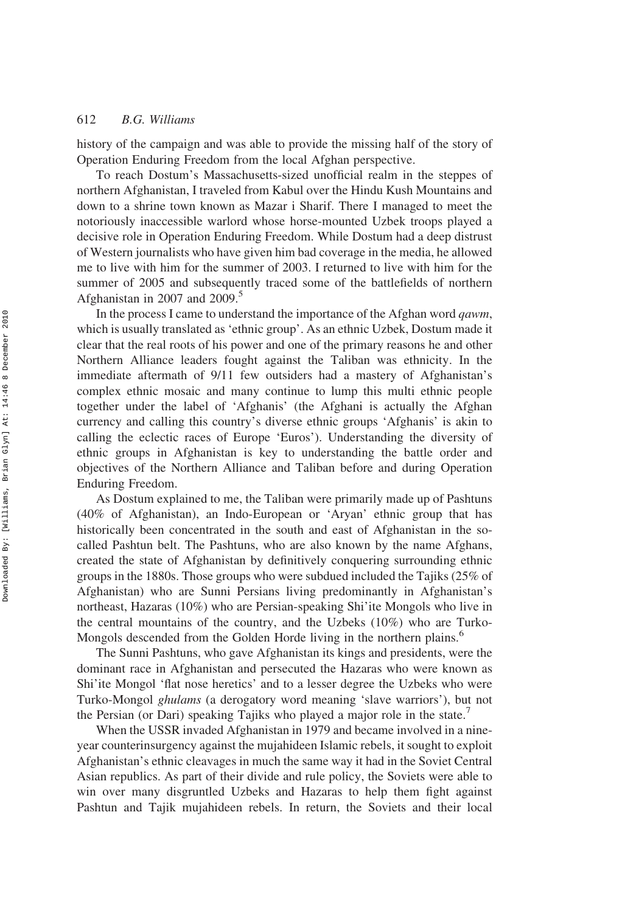history of the campaign and was able to provide the missing half of the story of Operation Enduring Freedom from the local Afghan perspective.

To reach Dostum's Massachusetts-sized unofficial realm in the steppes of northern Afghanistan, I traveled from Kabul over the Hindu Kush Mountains and down to a shrine town known as Mazar i Sharif. There I managed to meet the notoriously inaccessible warlord whose horse-mounted Uzbek troops played a decisive role in Operation Enduring Freedom. While Dostum had a deep distrust of Western journalists who have given him bad coverage in the media, he allowed me to live with him for the summer of 2003. I returned to live with him for the summer of 2005 and subsequently traced some of the battlefields of northern Afghanistan in 2007 and 2009.<sup>5</sup>

In the process I came to understand the importance of the Afghan word *qawm*, which is usually translated as 'ethnic group'. As an ethnic Uzbek, Dostum made it clear that the real roots of his power and one of the primary reasons he and other Northern Alliance leaders fought against the Taliban was ethnicity. In the immediate aftermath of 9/11 few outsiders had a mastery of Afghanistan's complex ethnic mosaic and many continue to lump this multi ethnic people together under the label of 'Afghanis' (the Afghani is actually the Afghan currency and calling this country's diverse ethnic groups 'Afghanis' is akin to calling the eclectic races of Europe 'Euros'). Understanding the diversity of ethnic groups in Afghanistan is key to understanding the battle order and objectives of the Northern Alliance and Taliban before and during Operation Enduring Freedom.

As Dostum explained to me, the Taliban were primarily made up of Pashtuns (40% of Afghanistan), an Indo-European or 'Aryan' ethnic group that has historically been concentrated in the south and east of Afghanistan in the socalled Pashtun belt. The Pashtuns, who are also known by the name Afghans, created the state of Afghanistan by definitively conquering surrounding ethnic groups in the 1880s. Those groups who were subdued included the Tajiks (25% of Afghanistan) who are Sunni Persians living predominantly in Afghanistan's northeast, Hazaras (10%) who are Persian-speaking Shi'ite Mongols who live in the central mountains of the country, and the Uzbeks (10%) who are Turko-Mongols descended from the Golden Horde living in the northern plains.<sup>6</sup>

The Sunni Pashtuns, who gave Afghanistan its kings and presidents, were the dominant race in Afghanistan and persecuted the Hazaras who were known as Shi'ite Mongol 'flat nose heretics' and to a lesser degree the Uzbeks who were Turko-Mongol ghulams (a derogatory word meaning 'slave warriors'), but not the Persian (or Dari) speaking Tajiks who played a major role in the state.<sup>7</sup>

When the USSR invaded Afghanistan in 1979 and became involved in a nineyear counterinsurgency against the mujahideen Islamic rebels, it sought to exploit Afghanistan's ethnic cleavages in much the same way it had in the Soviet Central Asian republics. As part of their divide and rule policy, the Soviets were able to win over many disgruntled Uzbeks and Hazaras to help them fight against Pashtun and Tajik mujahideen rebels. In return, the Soviets and their local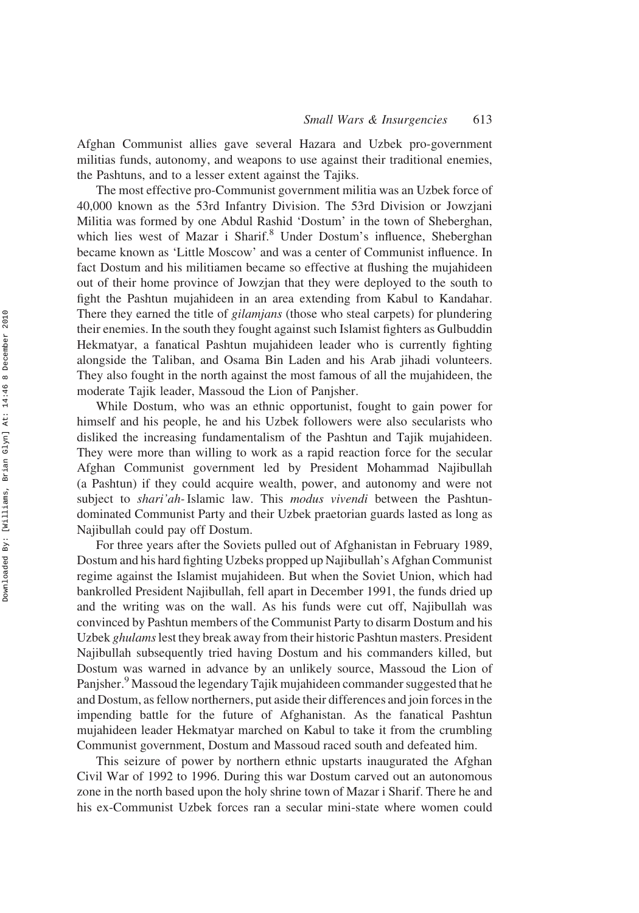Afghan Communist allies gave several Hazara and Uzbek pro-government militias funds, autonomy, and weapons to use against their traditional enemies, the Pashtuns, and to a lesser extent against the Tajiks.

The most effective pro-Communist government militia was an Uzbek force of 40,000 known as the 53rd Infantry Division. The 53rd Division or Jowzjani Militia was formed by one Abdul Rashid 'Dostum' in the town of Sheberghan, which lies west of Mazar i Sharif.<sup>8</sup> Under Dostum's influence, Sheberghan became known as 'Little Moscow' and was a center of Communist influence. In fact Dostum and his militiamen became so effective at flushing the mujahideen out of their home province of Jowzjan that they were deployed to the south to fight the Pashtun mujahideen in an area extending from Kabul to Kandahar. There they earned the title of *gilamians* (those who steal carpets) for plundering their enemies. In the south they fought against such Islamist fighters as Gulbuddin Hekmatyar, a fanatical Pashtun mujahideen leader who is currently fighting alongside the Taliban, and Osama Bin Laden and his Arab jihadi volunteers. They also fought in the north against the most famous of all the mujahideen, the moderate Tajik leader, Massoud the Lion of Panjsher.

While Dostum, who was an ethnic opportunist, fought to gain power for himself and his people, he and his Uzbek followers were also secularists who disliked the increasing fundamentalism of the Pashtun and Tajik mujahideen. They were more than willing to work as a rapid reaction force for the secular Afghan Communist government led by President Mohammad Najibullah (a Pashtun) if they could acquire wealth, power, and autonomy and were not subject to *shari'ah*-Islamic law. This *modus vivendi* between the Pashtundominated Communist Party and their Uzbek praetorian guards lasted as long as Najibullah could pay off Dostum.

For three years after the Soviets pulled out of Afghanistan in February 1989, Dostum and his hard fighting Uzbeks propped up Najibullah's Afghan Communist regime against the Islamist mujahideen. But when the Soviet Union, which had bankrolled President Najibullah, fell apart in December 1991, the funds dried up and the writing was on the wall. As his funds were cut off, Najibullah was convinced by Pashtun members of the Communist Party to disarm Dostum and his Uzbek *ghulams* lest they break away from their historic Pashtun masters. President Najibullah subsequently tried having Dostum and his commanders killed, but Dostum was warned in advance by an unlikely source, Massoud the Lion of Panjsher.<sup>9</sup> Massoud the legendary Tajik mujahideen commander suggested that he and Dostum, as fellow northerners, put aside their differences and join forces in the impending battle for the future of Afghanistan. As the fanatical Pashtun mujahideen leader Hekmatyar marched on Kabul to take it from the crumbling Communist government, Dostum and Massoud raced south and defeated him.

This seizure of power by northern ethnic upstarts inaugurated the Afghan Civil War of 1992 to 1996. During this war Dostum carved out an autonomous zone in the north based upon the holy shrine town of Mazar i Sharif. There he and his ex-Communist Uzbek forces ran a secular mini-state where women could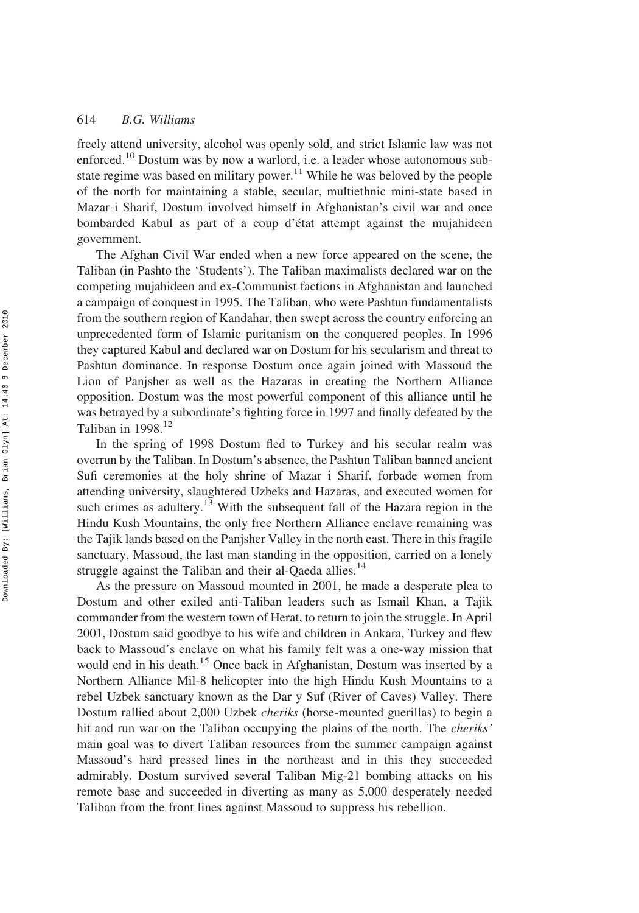freely attend university, alcohol was openly sold, and strict Islamic law was not enforced.<sup>10</sup> Dostum was by now a warlord, i.e. a leader whose autonomous substate regime was based on military power.<sup>11</sup> While he was beloved by the people of the north for maintaining a stable, secular, multiethnic mini-state based in Mazar i Sharif, Dostum involved himself in Afghanistan's civil war and once bombarded Kabul as part of a coup d'état attempt against the mujahideen government.

The Afghan Civil War ended when a new force appeared on the scene, the Taliban (in Pashto the 'Students'). The Taliban maximalists declared war on the competing mujahideen and ex-Communist factions in Afghanistan and launched a campaign of conquest in 1995. The Taliban, who were Pashtun fundamentalists from the southern region of Kandahar, then swept across the country enforcing an unprecedented form of Islamic puritanism on the conquered peoples. In 1996 they captured Kabul and declared war on Dostum for his secularism and threat to Pashtun dominance. In response Dostum once again joined with Massoud the Lion of Panjsher as well as the Hazaras in creating the Northern Alliance opposition. Dostum was the most powerful component of this alliance until he was betrayed by a subordinate's fighting force in 1997 and finally defeated by the Taliban in  $1998$ .<sup>12</sup>

In the spring of 1998 Dostum fled to Turkey and his secular realm was overrun by the Taliban. In Dostum's absence, the Pashtun Taliban banned ancient Sufi ceremonies at the holy shrine of Mazar i Sharif, forbade women from attending university, slaughtered Uzbeks and Hazaras, and executed women for such crimes as adultery.<sup>13</sup> With the subsequent fall of the Hazara region in the Hindu Kush Mountains, the only free Northern Alliance enclave remaining was the Tajik lands based on the Panjsher Valley in the north east. There in this fragile sanctuary, Massoud, the last man standing in the opposition, carried on a lonely struggle against the Taliban and their al-Qaeda allies. $14$ 

As the pressure on Massoud mounted in 2001, he made a desperate plea to Dostum and other exiled anti-Taliban leaders such as Ismail Khan, a Tajik commander from the western town of Herat, to return to join the struggle. In April 2001, Dostum said goodbye to his wife and children in Ankara, Turkey and flew back to Massoud's enclave on what his family felt was a one-way mission that would end in his death.<sup>15</sup> Once back in Afghanistan, Dostum was inserted by a Northern Alliance Mil-8 helicopter into the high Hindu Kush Mountains to a rebel Uzbek sanctuary known as the Dar y Suf (River of Caves) Valley. There Dostum rallied about 2,000 Uzbek cheriks (horse-mounted guerillas) to begin a hit and run war on the Taliban occupying the plains of the north. The *cheriks'* main goal was to divert Taliban resources from the summer campaign against Massoud's hard pressed lines in the northeast and in this they succeeded admirably. Dostum survived several Taliban Mig-21 bombing attacks on his remote base and succeeded in diverting as many as 5,000 desperately needed Taliban from the front lines against Massoud to suppress his rebellion.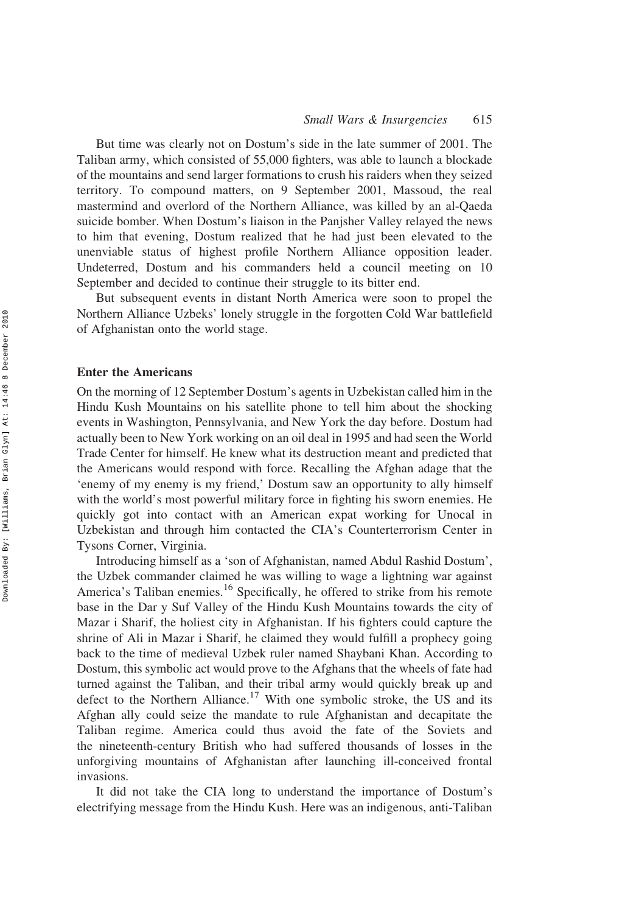But time was clearly not on Dostum's side in the late summer of 2001. The Taliban army, which consisted of 55,000 fighters, was able to launch a blockade of the mountains and send larger formations to crush his raiders when they seized territory. To compound matters, on 9 September 2001, Massoud, the real mastermind and overlord of the Northern Alliance, was killed by an al-Qaeda suicide bomber. When Dostum's liaison in the Panjsher Valley relayed the news to him that evening, Dostum realized that he had just been elevated to the unenviable status of highest profile Northern Alliance opposition leader. Undeterred, Dostum and his commanders held a council meeting on 10 September and decided to continue their struggle to its bitter end.

But subsequent events in distant North America were soon to propel the Northern Alliance Uzbeks' lonely struggle in the forgotten Cold War battlefield of Afghanistan onto the world stage.

## Enter the Americans

On the morning of 12 September Dostum's agents in Uzbekistan called him in the Hindu Kush Mountains on his satellite phone to tell him about the shocking events in Washington, Pennsylvania, and New York the day before. Dostum had actually been to New York working on an oil deal in 1995 and had seen the World Trade Center for himself. He knew what its destruction meant and predicted that the Americans would respond with force. Recalling the Afghan adage that the 'enemy of my enemy is my friend,' Dostum saw an opportunity to ally himself with the world's most powerful military force in fighting his sworn enemies. He quickly got into contact with an American expat working for Unocal in Uzbekistan and through him contacted the CIA's Counterterrorism Center in Tysons Corner, Virginia.

Introducing himself as a 'son of Afghanistan, named Abdul Rashid Dostum', the Uzbek commander claimed he was willing to wage a lightning war against America's Taliban enemies.<sup>16</sup> Specifically, he offered to strike from his remote base in the Dar y Suf Valley of the Hindu Kush Mountains towards the city of Mazar i Sharif, the holiest city in Afghanistan. If his fighters could capture the shrine of Ali in Mazar i Sharif, he claimed they would fulfill a prophecy going back to the time of medieval Uzbek ruler named Shaybani Khan. According to Dostum, this symbolic act would prove to the Afghans that the wheels of fate had turned against the Taliban, and their tribal army would quickly break up and defect to the Northern Alliance.<sup>17</sup> With one symbolic stroke, the US and its Afghan ally could seize the mandate to rule Afghanistan and decapitate the Taliban regime. America could thus avoid the fate of the Soviets and the nineteenth-century British who had suffered thousands of losses in the unforgiving mountains of Afghanistan after launching ill-conceived frontal invasions.

It did not take the CIA long to understand the importance of Dostum's electrifying message from the Hindu Kush. Here was an indigenous, anti-Taliban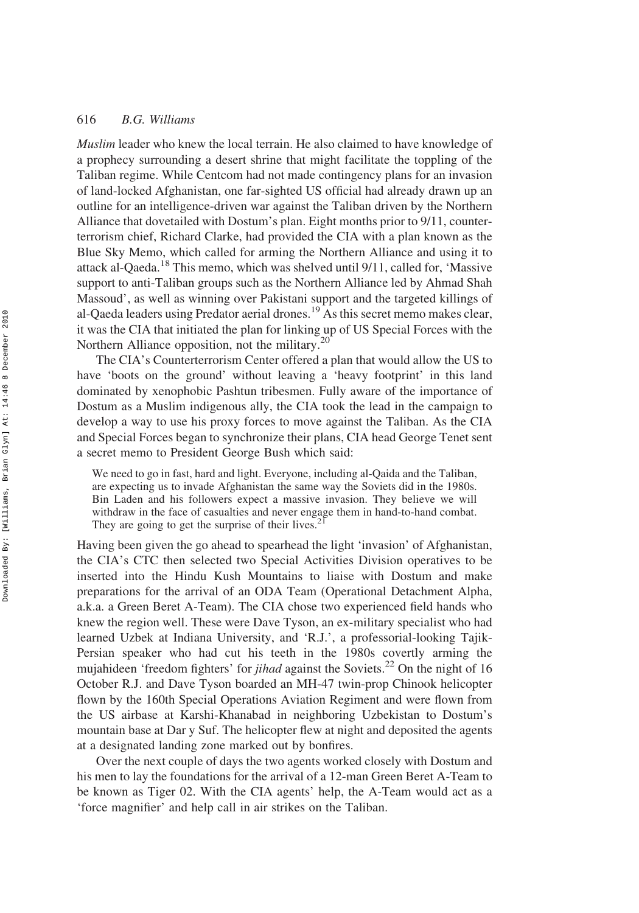Muslim leader who knew the local terrain. He also claimed to have knowledge of a prophecy surrounding a desert shrine that might facilitate the toppling of the Taliban regime. While Centcom had not made contingency plans for an invasion of land-locked Afghanistan, one far-sighted US official had already drawn up an outline for an intelligence-driven war against the Taliban driven by the Northern Alliance that dovetailed with Dostum's plan. Eight months prior to 9/11, counterterrorism chief, Richard Clarke, had provided the CIA with a plan known as the Blue Sky Memo, which called for arming the Northern Alliance and using it to attack al-Qaeda.<sup>18</sup> This memo, which was shelved until 9/11, called for, 'Massive support to anti-Taliban groups such as the Northern Alliance led by Ahmad Shah Massoud', as well as winning over Pakistani support and the targeted killings of al-Qaeda leaders using Predator aerial drones.<sup>19</sup> As this secret memo makes clear, it was the CIA that initiated the plan for linking up of US Special Forces with the Northern Alliance opposition, not the military.<sup>20</sup>

The CIA's Counterterrorism Center offered a plan that would allow the US to have 'boots on the ground' without leaving a 'heavy footprint' in this land dominated by xenophobic Pashtun tribesmen. Fully aware of the importance of Dostum as a Muslim indigenous ally, the CIA took the lead in the campaign to develop a way to use his proxy forces to move against the Taliban. As the CIA and Special Forces began to synchronize their plans, CIA head George Tenet sent a secret memo to President George Bush which said:

We need to go in fast, hard and light. Everyone, including al-Qaida and the Taliban, are expecting us to invade Afghanistan the same way the Soviets did in the 1980s. Bin Laden and his followers expect a massive invasion. They believe we will withdraw in the face of casualties and never engage them in hand-to-hand combat. They are going to get the surprise of their lives.

Having been given the go ahead to spearhead the light 'invasion' of Afghanistan, the CIA's CTC then selected two Special Activities Division operatives to be inserted into the Hindu Kush Mountains to liaise with Dostum and make preparations for the arrival of an ODA Team (Operational Detachment Alpha, a.k.a. a Green Beret A-Team). The CIA chose two experienced field hands who knew the region well. These were Dave Tyson, an ex-military specialist who had learned Uzbek at Indiana University, and 'R.J.', a professorial-looking Tajik-Persian speaker who had cut his teeth in the 1980s covertly arming the mujahideen 'freedom fighters' for *jihad* against the Soviets.<sup>22</sup> On the night of 16 October R.J. and Dave Tyson boarded an MH-47 twin-prop Chinook helicopter flown by the 160th Special Operations Aviation Regiment and were flown from the US airbase at Karshi-Khanabad in neighboring Uzbekistan to Dostum's mountain base at Dar y Suf. The helicopter flew at night and deposited the agents at a designated landing zone marked out by bonfires.

Over the next couple of days the two agents worked closely with Dostum and his men to lay the foundations for the arrival of a 12-man Green Beret A-Team to be known as Tiger 02. With the CIA agents' help, the A-Team would act as a 'force magnifier' and help call in air strikes on the Taliban.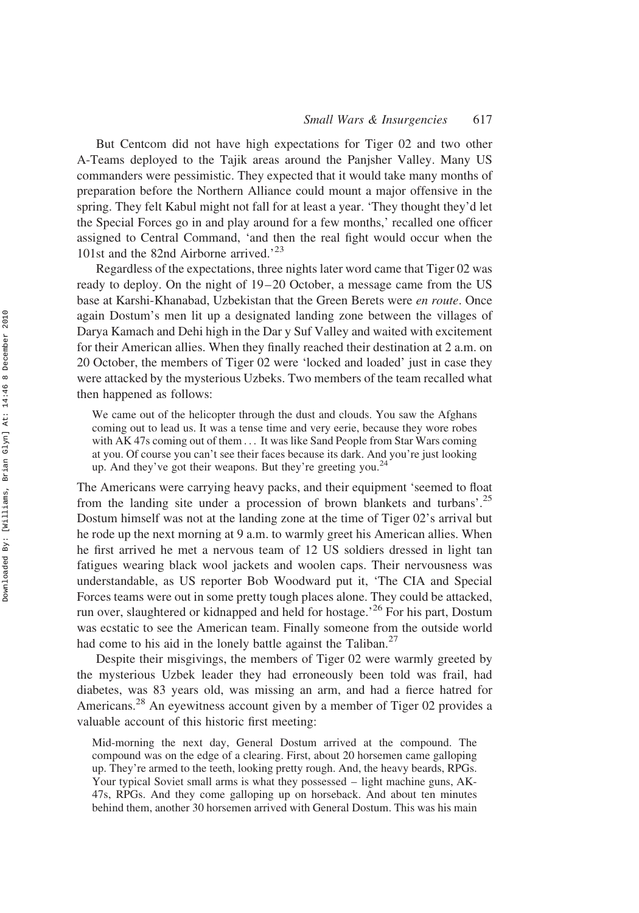But Centcom did not have high expectations for Tiger 02 and two other A-Teams deployed to the Tajik areas around the Panjsher Valley. Many US commanders were pessimistic. They expected that it would take many months of preparation before the Northern Alliance could mount a major offensive in the spring. They felt Kabul might not fall for at least a year. 'They thought they'd let the Special Forces go in and play around for a few months,' recalled one officer assigned to Central Command, 'and then the real fight would occur when the 101st and the 82nd Airborne arrived.'<sup>23</sup>

Regardless of the expectations, three nights later word came that Tiger 02 was ready to deploy. On the night of 19–20 October, a message came from the US base at Karshi-Khanabad, Uzbekistan that the Green Berets were en route. Once again Dostum's men lit up a designated landing zone between the villages of Darya Kamach and Dehi high in the Dar y Suf Valley and waited with excitement for their American allies. When they finally reached their destination at 2 a.m. on 20 October, the members of Tiger 02 were 'locked and loaded' just in case they were attacked by the mysterious Uzbeks. Two members of the team recalled what then happened as follows:

We came out of the helicopter through the dust and clouds. You saw the Afghans coming out to lead us. It was a tense time and very eerie, because they wore robes with AK 47s coming out of them ... It was like Sand People from Star Wars coming at you. Of course you can't see their faces because its dark. And you're just looking up. And they've got their weapons. But they're greeting you.<sup>24</sup>

The Americans were carrying heavy packs, and their equipment 'seemed to float from the landing site under a procession of brown blankets and turbans'.<sup>25</sup> Dostum himself was not at the landing zone at the time of Tiger 02's arrival but he rode up the next morning at 9 a.m. to warmly greet his American allies. When he first arrived he met a nervous team of 12 US soldiers dressed in light tan fatigues wearing black wool jackets and woolen caps. Their nervousness was understandable, as US reporter Bob Woodward put it, 'The CIA and Special Forces teams were out in some pretty tough places alone. They could be attacked, run over, slaughtered or kidnapped and held for hostage.<sup>26</sup> For his part, Dostum was ecstatic to see the American team. Finally someone from the outside world had come to his aid in the lonely battle against the Taliban.<sup>27</sup>

Despite their misgivings, the members of Tiger 02 were warmly greeted by the mysterious Uzbek leader they had erroneously been told was frail, had diabetes, was 83 years old, was missing an arm, and had a fierce hatred for Americans.28 An eyewitness account given by a member of Tiger 02 provides a valuable account of this historic first meeting:

Mid-morning the next day, General Dostum arrived at the compound. The compound was on the edge of a clearing. First, about 20 horsemen came galloping up. They're armed to the teeth, looking pretty rough. And, the heavy beards, RPGs. Your typical Soviet small arms is what they possessed – light machine guns, AK-47s, RPGs. And they come galloping up on horseback. And about ten minutes behind them, another 30 horsemen arrived with General Dostum. This was his main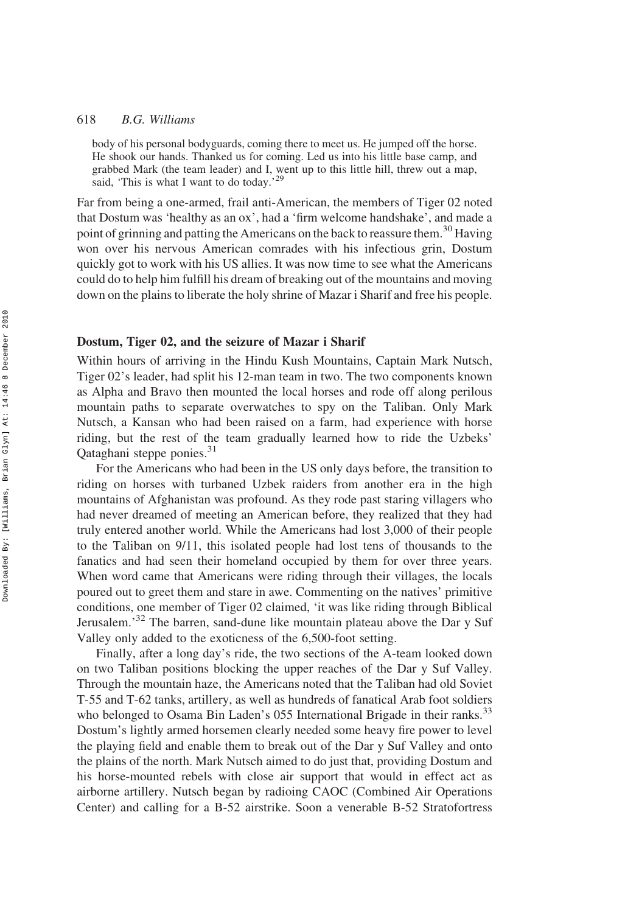body of his personal bodyguards, coming there to meet us. He jumped off the horse. He shook our hands. Thanked us for coming. Led us into his little base camp, and grabbed Mark (the team leader) and I, went up to this little hill, threw out a map, said, 'This is what I want to do today.'<sup>29</sup>

Far from being a one-armed, frail anti-American, the members of Tiger 02 noted that Dostum was 'healthy as an ox', had a 'firm welcome handshake', and made a point of grinning and patting the Americans on the back to reassure them.<sup>30</sup> Having won over his nervous American comrades with his infectious grin, Dostum quickly got to work with his US allies. It was now time to see what the Americans could do to help him fulfill his dream of breaking out of the mountains and moving down on the plains to liberate the holy shrine of Mazar i Sharif and free his people.

#### Dostum, Tiger 02, and the seizure of Mazar i Sharif

Within hours of arriving in the Hindu Kush Mountains, Captain Mark Nutsch, Tiger 02's leader, had split his 12-man team in two. The two components known as Alpha and Bravo then mounted the local horses and rode off along perilous mountain paths to separate overwatches to spy on the Taliban. Only Mark Nutsch, a Kansan who had been raised on a farm, had experience with horse riding, but the rest of the team gradually learned how to ride the Uzbeks' Qataghani steppe ponies.<sup>31</sup>

For the Americans who had been in the US only days before, the transition to riding on horses with turbaned Uzbek raiders from another era in the high mountains of Afghanistan was profound. As they rode past staring villagers who had never dreamed of meeting an American before, they realized that they had truly entered another world. While the Americans had lost 3,000 of their people to the Taliban on 9/11, this isolated people had lost tens of thousands to the fanatics and had seen their homeland occupied by them for over three years. When word came that Americans were riding through their villages, the locals poured out to greet them and stare in awe. Commenting on the natives' primitive conditions, one member of Tiger 02 claimed, 'it was like riding through Biblical Jerusalem.'32 The barren, sand-dune like mountain plateau above the Dar y Suf Valley only added to the exoticness of the 6,500-foot setting.

Finally, after a long day's ride, the two sections of the A-team looked down on two Taliban positions blocking the upper reaches of the Dar y Suf Valley. Through the mountain haze, the Americans noted that the Taliban had old Soviet T-55 and T-62 tanks, artillery, as well as hundreds of fanatical Arab foot soldiers who belonged to Osama Bin Laden's 055 International Brigade in their ranks.<sup>33</sup> Dostum's lightly armed horsemen clearly needed some heavy fire power to level the playing field and enable them to break out of the Dar y Suf Valley and onto the plains of the north. Mark Nutsch aimed to do just that, providing Dostum and his horse-mounted rebels with close air support that would in effect act as airborne artillery. Nutsch began by radioing CAOC (Combined Air Operations Center) and calling for a B-52 airstrike. Soon a venerable B-52 Stratofortress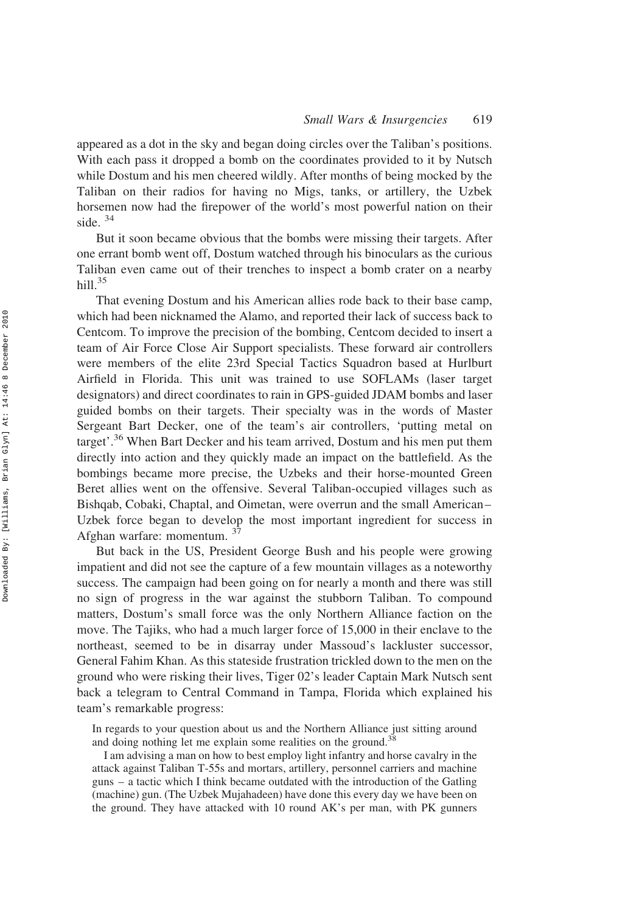appeared as a dot in the sky and began doing circles over the Taliban's positions. With each pass it dropped a bomb on the coordinates provided to it by Nutsch while Dostum and his men cheered wildly. After months of being mocked by the Taliban on their radios for having no Migs, tanks, or artillery, the Uzbek horsemen now had the firepower of the world's most powerful nation on their side. <sup>34</sup>

But it soon became obvious that the bombs were missing their targets. After one errant bomb went off, Dostum watched through his binoculars as the curious Taliban even came out of their trenches to inspect a bomb crater on a nearby  $hill.<sup>35</sup>$ 

That evening Dostum and his American allies rode back to their base camp, which had been nicknamed the Alamo, and reported their lack of success back to Centcom. To improve the precision of the bombing, Centcom decided to insert a team of Air Force Close Air Support specialists. These forward air controllers were members of the elite 23rd Special Tactics Squadron based at Hurlburt Airfield in Florida. This unit was trained to use SOFLAMs (laser target designators) and direct coordinates to rain in GPS-guided JDAM bombs and laser guided bombs on their targets. Their specialty was in the words of Master Sergeant Bart Decker, one of the team's air controllers, 'putting metal on target'.<sup>36</sup> When Bart Decker and his team arrived, Dostum and his men put them directly into action and they quickly made an impact on the battlefield. As the bombings became more precise, the Uzbeks and their horse-mounted Green Beret allies went on the offensive. Several Taliban-occupied villages such as Bishqab, Cobaki, Chaptal, and Oimetan, were overrun and the small American– Uzbek force began to develop the most important ingredient for success in Afghan warfare: momentum. <sup>37</sup>

But back in the US, President George Bush and his people were growing impatient and did not see the capture of a few mountain villages as a noteworthy success. The campaign had been going on for nearly a month and there was still no sign of progress in the war against the stubborn Taliban. To compound matters, Dostum's small force was the only Northern Alliance faction on the move. The Tajiks, who had a much larger force of 15,000 in their enclave to the northeast, seemed to be in disarray under Massoud's lackluster successor, General Fahim Khan. As this stateside frustration trickled down to the men on the ground who were risking their lives, Tiger 02's leader Captain Mark Nutsch sent back a telegram to Central Command in Tampa, Florida which explained his team's remarkable progress:

In regards to your question about us and the Northern Alliance just sitting around and doing nothing let me explain some realities on the ground.<sup>38</sup>

I am advising a man on how to best employ light infantry and horse cavalry in the attack against Taliban T-55s and mortars, artillery, personnel carriers and machine guns – a tactic which I think became outdated with the introduction of the Gatling (machine) gun. (The Uzbek Mujahadeen) have done this every day we have been on the ground. They have attacked with 10 round AK's per man, with PK gunners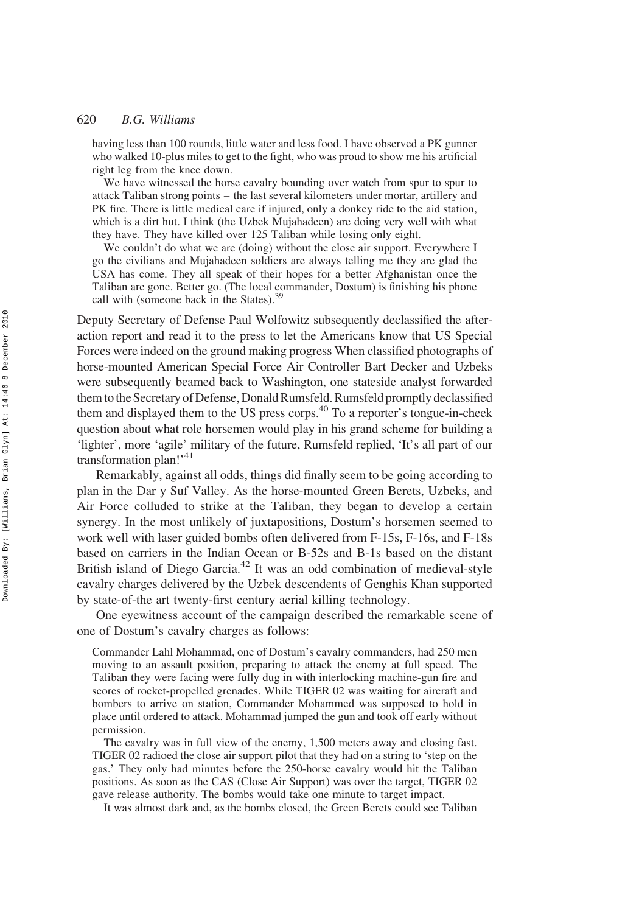having less than 100 rounds, little water and less food. I have observed a PK gunner who walked 10-plus miles to get to the fight, who was proud to show me his artificial right leg from the knee down.

We have witnessed the horse cavalry bounding over watch from spur to spur to attack Taliban strong points – the last several kilometers under mortar, artillery and PK fire. There is little medical care if injured, only a donkey ride to the aid station, which is a dirt hut. I think (the Uzbek Mujahadeen) are doing very well with what they have. They have killed over 125 Taliban while losing only eight.

We couldn't do what we are (doing) without the close air support. Everywhere I go the civilians and Mujahadeen soldiers are always telling me they are glad the USA has come. They all speak of their hopes for a better Afghanistan once the Taliban are gone. Better go. (The local commander, Dostum) is finishing his phone call with (someone back in the States).<sup>39</sup>

Deputy Secretary of Defense Paul Wolfowitz subsequently declassified the afteraction report and read it to the press to let the Americans know that US Special Forces were indeed on the ground making progress When classified photographs of horse-mounted American Special Force Air Controller Bart Decker and Uzbeks were subsequently beamed back to Washington, one stateside analyst forwarded them to the Secretary of Defense, Donald Rumsfeld. Rumsfeld promptly declassified them and displayed them to the US press corps.<sup>40</sup> To a reporter's tongue-in-cheek question about what role horsemen would play in his grand scheme for building a 'lighter', more 'agile' military of the future, Rumsfeld replied, 'It's all part of our transformation plan!'41

Remarkably, against all odds, things did finally seem to be going according to plan in the Dar y Suf Valley. As the horse-mounted Green Berets, Uzbeks, and Air Force colluded to strike at the Taliban, they began to develop a certain synergy. In the most unlikely of juxtapositions, Dostum's horsemen seemed to work well with laser guided bombs often delivered from F-15s, F-16s, and F-18s based on carriers in the Indian Ocean or B-52s and B-1s based on the distant British island of Diego Garcia.<sup>42</sup> It was an odd combination of medieval-style cavalry charges delivered by the Uzbek descendents of Genghis Khan supported by state-of-the art twenty-first century aerial killing technology.

One eyewitness account of the campaign described the remarkable scene of one of Dostum's cavalry charges as follows:

Commander Lahl Mohammad, one of Dostum's cavalry commanders, had 250 men moving to an assault position, preparing to attack the enemy at full speed. The Taliban they were facing were fully dug in with interlocking machine-gun fire and scores of rocket-propelled grenades. While TIGER 02 was waiting for aircraft and bombers to arrive on station, Commander Mohammed was supposed to hold in place until ordered to attack. Mohammad jumped the gun and took off early without permission.

The cavalry was in full view of the enemy, 1,500 meters away and closing fast. TIGER 02 radioed the close air support pilot that they had on a string to 'step on the gas.' They only had minutes before the 250-horse cavalry would hit the Taliban positions. As soon as the CAS (Close Air Support) was over the target, TIGER 02 gave release authority. The bombs would take one minute to target impact.

It was almost dark and, as the bombs closed, the Green Berets could see Taliban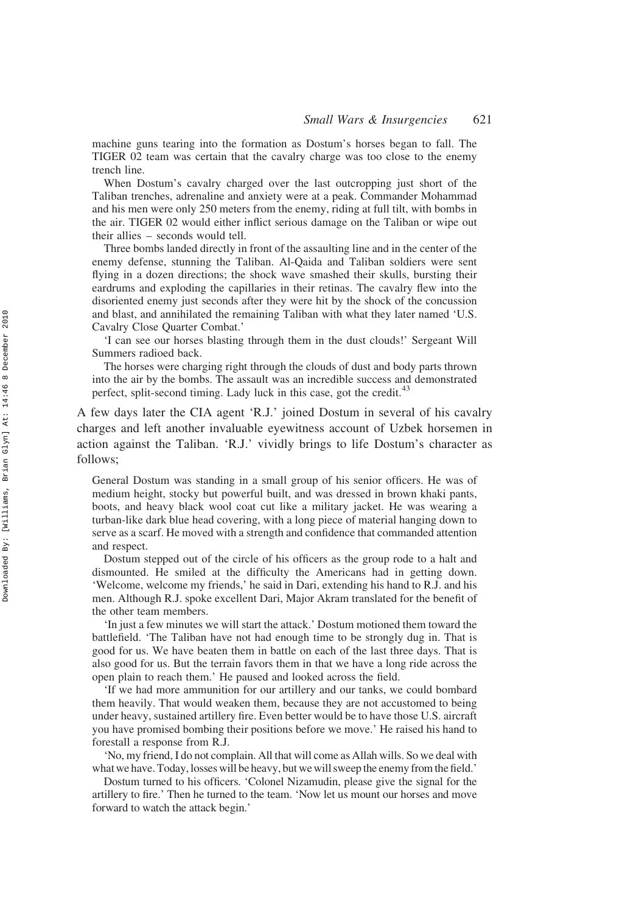machine guns tearing into the formation as Dostum's horses began to fall. The TIGER 02 team was certain that the cavalry charge was too close to the enemy trench line.

When Dostum's cavalry charged over the last outcropping just short of the Taliban trenches, adrenaline and anxiety were at a peak. Commander Mohammad and his men were only 250 meters from the enemy, riding at full tilt, with bombs in the air. TIGER 02 would either inflict serious damage on the Taliban or wipe out their allies – seconds would tell.

Three bombs landed directly in front of the assaulting line and in the center of the enemy defense, stunning the Taliban. Al-Qaida and Taliban soldiers were sent flying in a dozen directions; the shock wave smashed their skulls, bursting their eardrums and exploding the capillaries in their retinas. The cavalry flew into the disoriented enemy just seconds after they were hit by the shock of the concussion and blast, and annihilated the remaining Taliban with what they later named 'U.S. Cavalry Close Quarter Combat.'

'I can see our horses blasting through them in the dust clouds!' Sergeant Will Summers radioed back.

The horses were charging right through the clouds of dust and body parts thrown into the air by the bombs. The assault was an incredible success and demonstrated perfect, split-second timing. Lady luck in this case, got the credit. $43$ 

A few days later the CIA agent 'R.J.' joined Dostum in several of his cavalry charges and left another invaluable eyewitness account of Uzbek horsemen in action against the Taliban. 'R.J.' vividly brings to life Dostum's character as follows;

General Dostum was standing in a small group of his senior officers. He was of medium height, stocky but powerful built, and was dressed in brown khaki pants, boots, and heavy black wool coat cut like a military jacket. He was wearing a turban-like dark blue head covering, with a long piece of material hanging down to serve as a scarf. He moved with a strength and confidence that commanded attention and respect.

Dostum stepped out of the circle of his officers as the group rode to a halt and dismounted. He smiled at the difficulty the Americans had in getting down. 'Welcome, welcome my friends,' he said in Dari, extending his hand to R.J. and his men. Although R.J. spoke excellent Dari, Major Akram translated for the benefit of the other team members.

'In just a few minutes we will start the attack.' Dostum motioned them toward the battlefield. 'The Taliban have not had enough time to be strongly dug in. That is good for us. We have beaten them in battle on each of the last three days. That is also good for us. But the terrain favors them in that we have a long ride across the open plain to reach them.' He paused and looked across the field.

'If we had more ammunition for our artillery and our tanks, we could bombard them heavily. That would weaken them, because they are not accustomed to being under heavy, sustained artillery fire. Even better would be to have those U.S. aircraft you have promised bombing their positions before we move.' He raised his hand to forestall a response from R.J.

'No, my friend, I do not complain. All that will come as Allah wills. So we deal with what we have. Today, losses will be heavy, but we will sweep the enemy from the field.'

Dostum turned to his officers. 'Colonel Nizamudin, please give the signal for the artillery to fire.' Then he turned to the team. 'Now let us mount our horses and move forward to watch the attack begin.'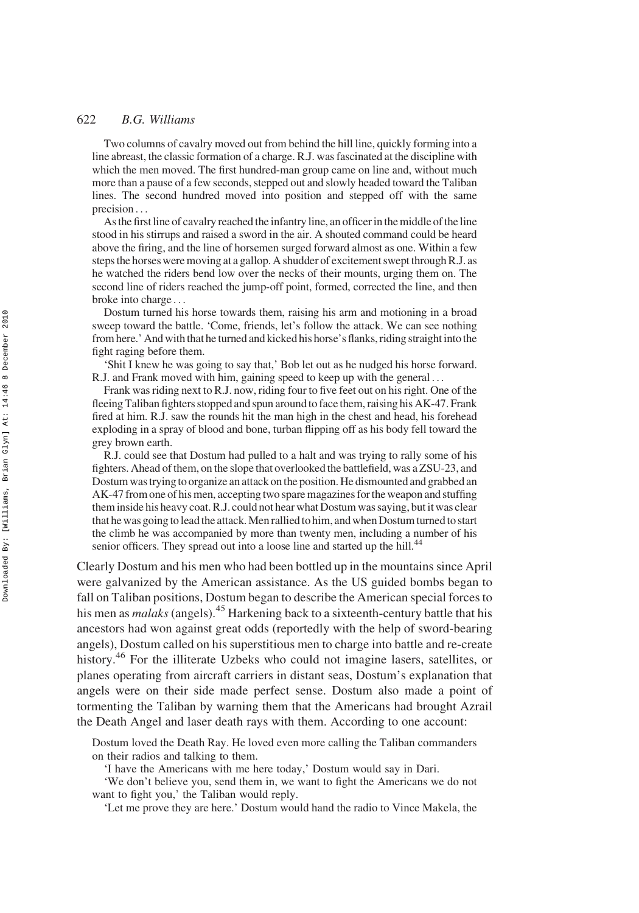Two columns of cavalry moved out from behind the hill line, quickly forming into a line abreast, the classic formation of a charge. R.J. was fascinated at the discipline with which the men moved. The first hundred-man group came on line and, without much more than a pause of a few seconds, stepped out and slowly headed toward the Taliban lines. The second hundred moved into position and stepped off with the same precision ...

As the first line of cavalry reached the infantry line, an officer in the middle of the line stood in his stirrups and raised a sword in the air. A shouted command could be heard above the firing, and the line of horsemen surged forward almost as one. Within a few steps the horses were moving at a gallop. A shudder of excitement swept through R.J. as he watched the riders bend low over the necks of their mounts, urging them on. The second line of riders reached the jump-off point, formed, corrected the line, and then broke into charge ...

Dostum turned his horse towards them, raising his arm and motioning in a broad sweep toward the battle. 'Come, friends, let's follow the attack. We can see nothing from here.' And with that he turned and kicked his horse's flanks, riding straight into the fight raging before them.

'Shit I knew he was going to say that,' Bob let out as he nudged his horse forward. R.J. and Frank moved with him, gaining speed to keep up with the general ...

Frank was riding next to R.J. now, riding four to five feet out on his right. One of the fleeing Taliban fighters stopped and spun around to face them, raising his AK-47. Frank fired at him. R.J. saw the rounds hit the man high in the chest and head, his forehead exploding in a spray of blood and bone, turban flipping off as his body fell toward the grey brown earth.

R.J. could see that Dostum had pulled to a halt and was trying to rally some of his fighters. Ahead of them, on the slope that overlooked the battlefield, was a ZSU-23, and Dostum was trying to organize an attack on the position. He dismounted and grabbed an AK-47 from one of his men, accepting two spare magazines for the weapon and stuffing them inside his heavy coat. R.J. could not hear what Dostum was saying, but it was clear that he was going to lead the attack. Men rallied to him, and when Dostum turned to start the climb he was accompanied by more than twenty men, including a number of his senior officers. They spread out into a loose line and started up the hill.<sup>44</sup>

Clearly Dostum and his men who had been bottled up in the mountains since April were galvanized by the American assistance. As the US guided bombs began to fall on Taliban positions, Dostum began to describe the American special forces to his men as *malaks* (angels).<sup>45</sup> Harkening back to a sixteenth-century battle that his ancestors had won against great odds (reportedly with the help of sword-bearing angels), Dostum called on his superstitious men to charge into battle and re-create history.<sup>46</sup> For the illiterate Uzbeks who could not imagine lasers, satellites, or planes operating from aircraft carriers in distant seas, Dostum's explanation that angels were on their side made perfect sense. Dostum also made a point of tormenting the Taliban by warning them that the Americans had brought Azrail the Death Angel and laser death rays with them. According to one account:

Dostum loved the Death Ray. He loved even more calling the Taliban commanders on their radios and talking to them.

'I have the Americans with me here today,' Dostum would say in Dari.

'We don't believe you, send them in, we want to fight the Americans we do not want to fight you,' the Taliban would reply.

'Let me prove they are here.' Dostum would hand the radio to Vince Makela, the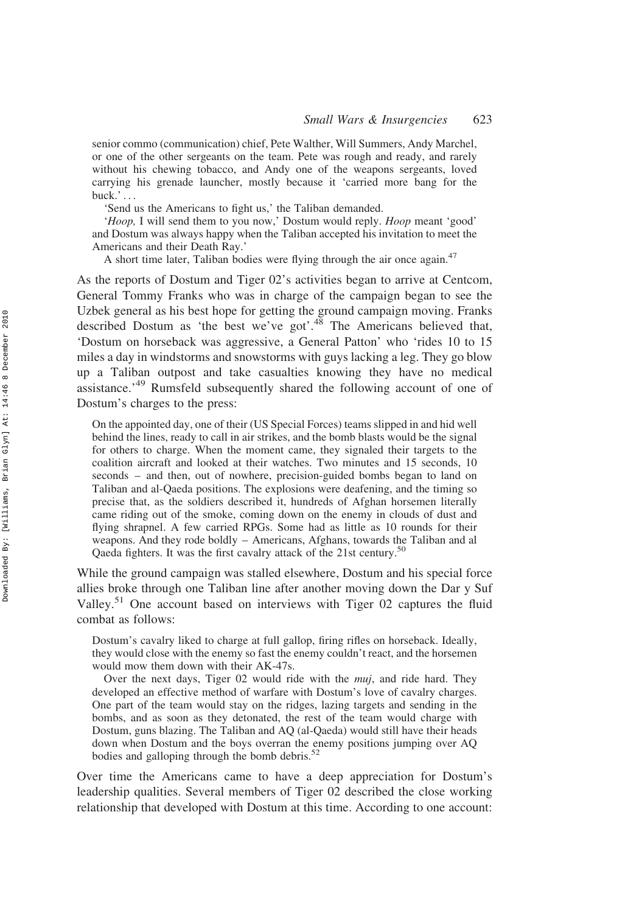senior commo (communication) chief, Pete Walther, Will Summers, Andy Marchel, or one of the other sergeants on the team. Pete was rough and ready, and rarely without his chewing tobacco, and Andy one of the weapons sergeants, loved carrying his grenade launcher, mostly because it 'carried more bang for the buck.' ...

'Send us the Americans to fight us,' the Taliban demanded.

'Hoop, I will send them to you now,' Dostum would reply. Hoop meant 'good' and Dostum was always happy when the Taliban accepted his invitation to meet the Americans and their Death Ray.'

A short time later, Taliban bodies were flying through the air once again.<sup>47</sup>

As the reports of Dostum and Tiger 02's activities began to arrive at Centcom, General Tommy Franks who was in charge of the campaign began to see the Uzbek general as his best hope for getting the ground campaign moving. Franks described Dostum as 'the best we've got'.<sup>48</sup> The Americans believed that, 'Dostum on horseback was aggressive, a General Patton' who 'rides 10 to 15 miles a day in windstorms and snowstorms with guys lacking a leg. They go blow up a Taliban outpost and take casualties knowing they have no medical assistance.'49 Rumsfeld subsequently shared the following account of one of Dostum's charges to the press:

On the appointed day, one of their (US Special Forces) teams slipped in and hid well behind the lines, ready to call in air strikes, and the bomb blasts would be the signal for others to charge. When the moment came, they signaled their targets to the coalition aircraft and looked at their watches. Two minutes and 15 seconds, 10 seconds – and then, out of nowhere, precision-guided bombs began to land on Taliban and al-Qaeda positions. The explosions were deafening, and the timing so precise that, as the soldiers described it, hundreds of Afghan horsemen literally came riding out of the smoke, coming down on the enemy in clouds of dust and flying shrapnel. A few carried RPGs. Some had as little as 10 rounds for their weapons. And they rode boldly – Americans, Afghans, towards the Taliban and al Qaeda fighters. It was the first cavalry attack of the 21st century.<sup>50</sup>

While the ground campaign was stalled elsewhere, Dostum and his special force allies broke through one Taliban line after another moving down the Dar y Suf Valley.<sup>51</sup> One account based on interviews with Tiger 02 captures the fluid combat as follows:

Dostum's cavalry liked to charge at full gallop, firing rifles on horseback. Ideally, they would close with the enemy so fast the enemy couldn't react, and the horsemen would mow them down with their AK-47s.

Over the next days, Tiger 02 would ride with the *muj*, and ride hard. They developed an effective method of warfare with Dostum's love of cavalry charges. One part of the team would stay on the ridges, lazing targets and sending in the bombs, and as soon as they detonated, the rest of the team would charge with Dostum, guns blazing. The Taliban and AQ (al-Qaeda) would still have their heads down when Dostum and the boys overran the enemy positions jumping over AQ bodies and galloping through the bomb debris.<sup>52</sup>

Over time the Americans came to have a deep appreciation for Dostum's leadership qualities. Several members of Tiger 02 described the close working relationship that developed with Dostum at this time. According to one account: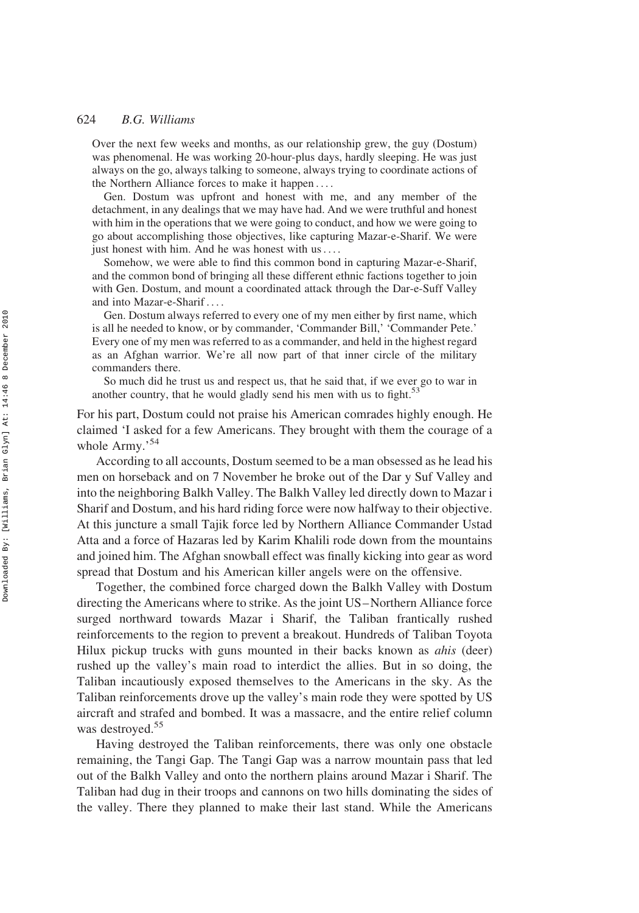Over the next few weeks and months, as our relationship grew, the guy (Dostum) was phenomenal. He was working 20-hour-plus days, hardly sleeping. He was just always on the go, always talking to someone, always trying to coordinate actions of the Northern Alliance forces to make it happen ... .

Gen. Dostum was upfront and honest with me, and any member of the detachment, in any dealings that we may have had. And we were truthful and honest with him in the operations that we were going to conduct, and how we were going to go about accomplishing those objectives, like capturing Mazar-e-Sharif. We were just honest with him. And he was honest with us....

Somehow, we were able to find this common bond in capturing Mazar-e-Sharif, and the common bond of bringing all these different ethnic factions together to join with Gen. Dostum, and mount a coordinated attack through the Dar-e-Suff Valley and into Mazar-e-Sharif ... .

Gen. Dostum always referred to every one of my men either by first name, which is all he needed to know, or by commander, 'Commander Bill,' 'Commander Pete.' Every one of my men was referred to as a commander, and held in the highest regard as an Afghan warrior. We're all now part of that inner circle of the military commanders there.

So much did he trust us and respect us, that he said that, if we ever go to war in another country, that he would gladly send his men with us to fight.<sup>53</sup>

For his part, Dostum could not praise his American comrades highly enough. He claimed 'I asked for a few Americans. They brought with them the courage of a whole Army.'<sup>54</sup>

According to all accounts, Dostum seemed to be a man obsessed as he lead his men on horseback and on 7 November he broke out of the Dar y Suf Valley and into the neighboring Balkh Valley. The Balkh Valley led directly down to Mazar i Sharif and Dostum, and his hard riding force were now halfway to their objective. At this juncture a small Tajik force led by Northern Alliance Commander Ustad Atta and a force of Hazaras led by Karim Khalili rode down from the mountains and joined him. The Afghan snowball effect was finally kicking into gear as word spread that Dostum and his American killer angels were on the offensive.

Together, the combined force charged down the Balkh Valley with Dostum directing the Americans where to strike. As the joint US–Northern Alliance force surged northward towards Mazar i Sharif, the Taliban frantically rushed reinforcements to the region to prevent a breakout. Hundreds of Taliban Toyota Hilux pickup trucks with guns mounted in their backs known as ahis (deer) rushed up the valley's main road to interdict the allies. But in so doing, the Taliban incautiously exposed themselves to the Americans in the sky. As the Taliban reinforcements drove up the valley's main rode they were spotted by US aircraft and strafed and bombed. It was a massacre, and the entire relief column was destroyed.<sup>55</sup>

Having destroyed the Taliban reinforcements, there was only one obstacle remaining, the Tangi Gap. The Tangi Gap was a narrow mountain pass that led out of the Balkh Valley and onto the northern plains around Mazar i Sharif. The Taliban had dug in their troops and cannons on two hills dominating the sides of the valley. There they planned to make their last stand. While the Americans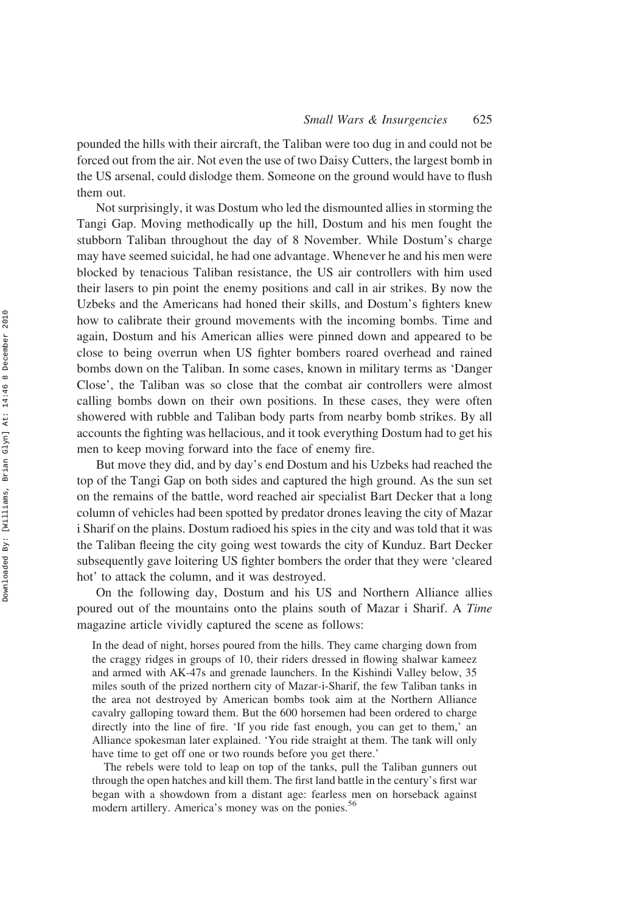pounded the hills with their aircraft, the Taliban were too dug in and could not be forced out from the air. Not even the use of two Daisy Cutters, the largest bomb in the US arsenal, could dislodge them. Someone on the ground would have to flush them out.

Not surprisingly, it was Dostum who led the dismounted allies in storming the Tangi Gap. Moving methodically up the hill, Dostum and his men fought the stubborn Taliban throughout the day of 8 November. While Dostum's charge may have seemed suicidal, he had one advantage. Whenever he and his men were blocked by tenacious Taliban resistance, the US air controllers with him used their lasers to pin point the enemy positions and call in air strikes. By now the Uzbeks and the Americans had honed their skills, and Dostum's fighters knew how to calibrate their ground movements with the incoming bombs. Time and again, Dostum and his American allies were pinned down and appeared to be close to being overrun when US fighter bombers roared overhead and rained bombs down on the Taliban. In some cases, known in military terms as 'Danger Close', the Taliban was so close that the combat air controllers were almost calling bombs down on their own positions. In these cases, they were often showered with rubble and Taliban body parts from nearby bomb strikes. By all accounts the fighting was hellacious, and it took everything Dostum had to get his men to keep moving forward into the face of enemy fire.

But move they did, and by day's end Dostum and his Uzbeks had reached the top of the Tangi Gap on both sides and captured the high ground. As the sun set on the remains of the battle, word reached air specialist Bart Decker that a long column of vehicles had been spotted by predator drones leaving the city of Mazar i Sharif on the plains. Dostum radioed his spies in the city and was told that it was the Taliban fleeing the city going west towards the city of Kunduz. Bart Decker subsequently gave loitering US fighter bombers the order that they were 'cleared hot' to attack the column, and it was destroyed.

On the following day, Dostum and his US and Northern Alliance allies poured out of the mountains onto the plains south of Mazar i Sharif. A Time magazine article vividly captured the scene as follows:

In the dead of night, horses poured from the hills. They came charging down from the craggy ridges in groups of 10, their riders dressed in flowing shalwar kameez and armed with AK-47s and grenade launchers. In the Kishindi Valley below, 35 miles south of the prized northern city of Mazar-i-Sharif, the few Taliban tanks in the area not destroyed by American bombs took aim at the Northern Alliance cavalry galloping toward them. But the 600 horsemen had been ordered to charge directly into the line of fire. 'If you ride fast enough, you can get to them,' an Alliance spokesman later explained. 'You ride straight at them. The tank will only have time to get off one or two rounds before you get there.'

The rebels were told to leap on top of the tanks, pull the Taliban gunners out through the open hatches and kill them. The first land battle in the century's first war began with a showdown from a distant age: fearless men on horseback against modern artillery. America's money was on the ponies.<sup>56</sup>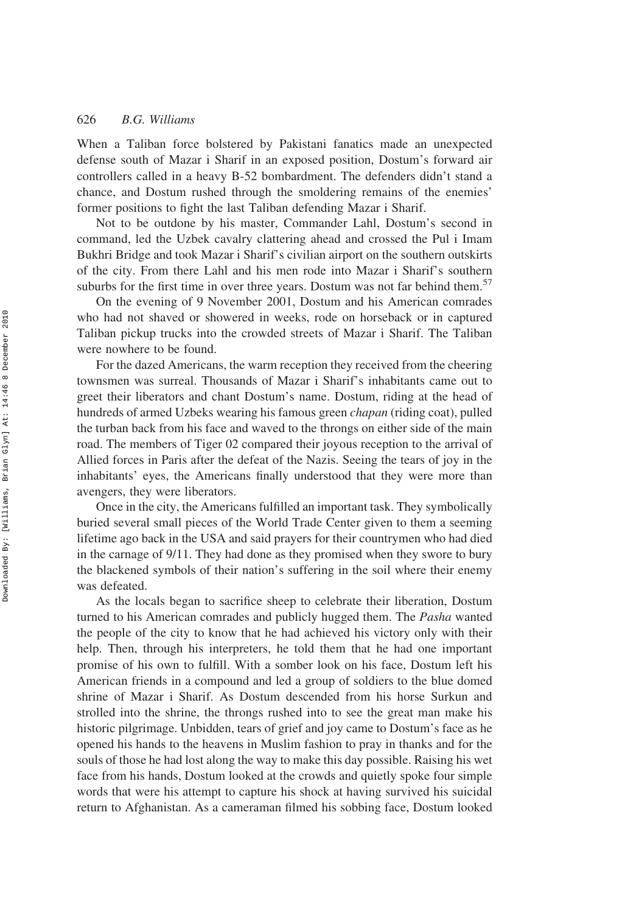When a Taliban force bolstered by Pakistani fanatics made an unexpected defense south of Mazar i Sharif in an exposed position, Dostum's forward air controllers called in a heavy B-52 bombardment. The defenders didn't stand a chance, and Dostum rushed through the smoldering remains of the enemies' former positions to fight the last Taliban defending Mazar i Sharif.

Not to be outdone by his master, Commander Lahl, Dostum's second in command, led the Uzbek cavalry clattering ahead and crossed the Pul i Imam Bukhri Bridge and took Mazar i Sharif's civilian airport on the southern outskirts of the city. From there Lahl and his men rode into Mazar i Sharif's southern suburbs for the first time in over three years. Dostum was not far behind them.<sup>57</sup>

On the evening of 9 November 2001, Dostum and his American comrades who had not shaved or showered in weeks, rode on horseback or in captured Taliban pickup trucks into the crowded streets of Mazar i Sharif. The Taliban were nowhere to be found.

For the dazed Americans, the warm reception they received from the cheering townsmen was surreal. Thousands of Mazar i Sharif's inhabitants came out to greet their liberators and chant Dostum's name. Dostum, riding at the head of hundreds of armed Uzbeks wearing his famous green *chapan* (riding coat), pulled the turban back from his face and waved to the throngs on either side of the main road. The members of Tiger 02 compared their joyous reception to the arrival of Allied forces in Paris after the defeat of the Nazis. Seeing the tears of joy in the inhabitants' eyes, the Americans finally understood that they were more than avengers, they were liberators.

Once in the city, the Americans fulfilled an important task. They symbolically buried several small pieces of the World Trade Center given to them a seeming lifetime ago back in the USA and said prayers for their countrymen who had died in the carnage of 9/11. They had done as they promised when they swore to bury the blackened symbols of their nation's suffering in the soil where their enemy was defeated.

As the locals began to sacrifice sheep to celebrate their liberation, Dostum turned to his American comrades and publicly hugged them. The Pasha wanted the people of the city to know that he had achieved his victory only with their help. Then, through his interpreters, he told them that he had one important promise of his own to fulfill. With a somber look on his face, Dostum left his American friends in a compound and led a group of soldiers to the blue domed shrine of Mazar i Sharif. As Dostum descended from his horse Surkun and strolled into the shrine, the throngs rushed into to see the great man make his historic pilgrimage. Unbidden, tears of grief and joy came to Dostum's face as he opened his hands to the heavens in Muslim fashion to pray in thanks and for the souls of those he had lost along the way to make this day possible. Raising his wet face from his hands, Dostum looked at the crowds and quietly spoke four simple words that were his attempt to capture his shock at having survived his suicidal return to Afghanistan. As a cameraman filmed his sobbing face, Dostum looked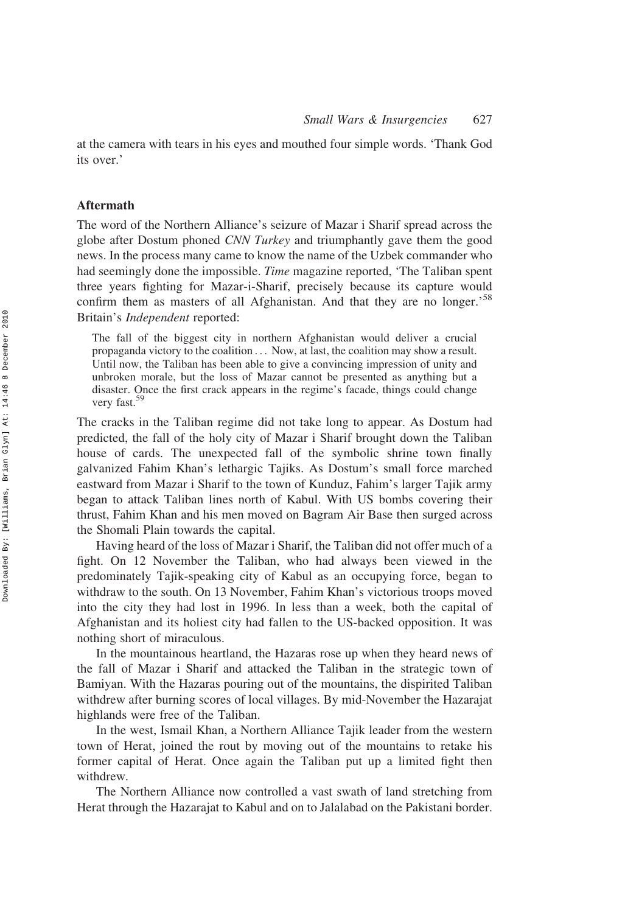at the camera with tears in his eyes and mouthed four simple words. 'Thank God its over.'

#### Aftermath

The word of the Northern Alliance's seizure of Mazar i Sharif spread across the globe after Dostum phoned CNN Turkey and triumphantly gave them the good news. In the process many came to know the name of the Uzbek commander who had seemingly done the impossible. Time magazine reported, 'The Taliban spent three years fighting for Mazar-i-Sharif, precisely because its capture would confirm them as masters of all Afghanistan. And that they are no longer.<sup>58</sup> Britain's Independent reported:

The fall of the biggest city in northern Afghanistan would deliver a crucial propaganda victory to the coalition ... Now, at last, the coalition may show a result. Until now, the Taliban has been able to give a convincing impression of unity and unbroken morale, but the loss of Mazar cannot be presented as anything but a disaster. Once the first crack appears in the regime's facade, things could change very fast.<sup>59</sup>

The cracks in the Taliban regime did not take long to appear. As Dostum had predicted, the fall of the holy city of Mazar i Sharif brought down the Taliban house of cards. The unexpected fall of the symbolic shrine town finally galvanized Fahim Khan's lethargic Tajiks. As Dostum's small force marched eastward from Mazar i Sharif to the town of Kunduz, Fahim's larger Tajik army began to attack Taliban lines north of Kabul. With US bombs covering their thrust, Fahim Khan and his men moved on Bagram Air Base then surged across the Shomali Plain towards the capital.

Having heard of the loss of Mazar i Sharif, the Taliban did not offer much of a fight. On 12 November the Taliban, who had always been viewed in the predominately Tajik-speaking city of Kabul as an occupying force, began to withdraw to the south. On 13 November, Fahim Khan's victorious troops moved into the city they had lost in 1996. In less than a week, both the capital of Afghanistan and its holiest city had fallen to the US-backed opposition. It was nothing short of miraculous.

In the mountainous heartland, the Hazaras rose up when they heard news of the fall of Mazar i Sharif and attacked the Taliban in the strategic town of Bamiyan. With the Hazaras pouring out of the mountains, the dispirited Taliban withdrew after burning scores of local villages. By mid-November the Hazarajat highlands were free of the Taliban.

In the west, Ismail Khan, a Northern Alliance Tajik leader from the western town of Herat, joined the rout by moving out of the mountains to retake his former capital of Herat. Once again the Taliban put up a limited fight then withdrew.

The Northern Alliance now controlled a vast swath of land stretching from Herat through the Hazarajat to Kabul and on to Jalalabad on the Pakistani border.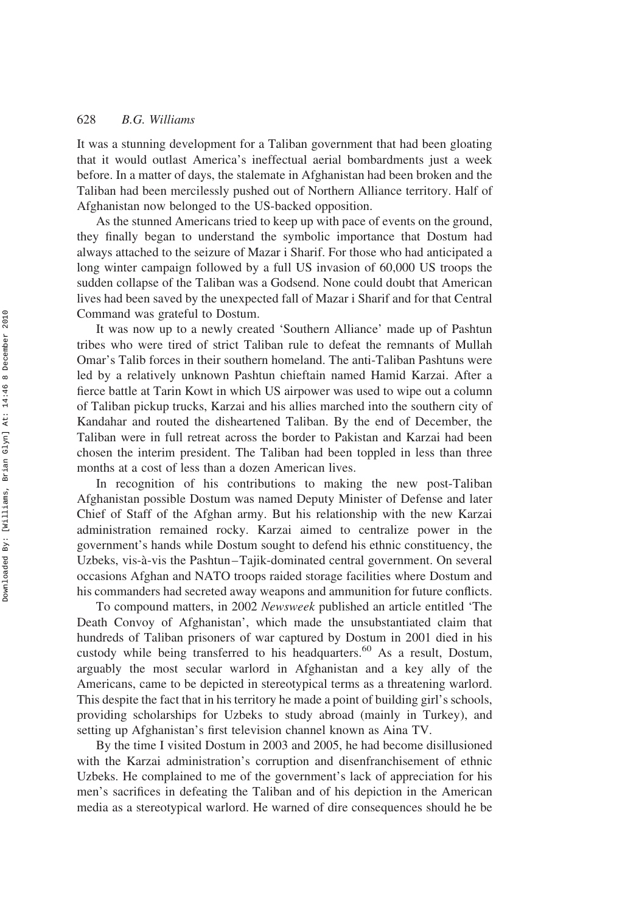It was a stunning development for a Taliban government that had been gloating that it would outlast America's ineffectual aerial bombardments just a week before. In a matter of days, the stalemate in Afghanistan had been broken and the Taliban had been mercilessly pushed out of Northern Alliance territory. Half of Afghanistan now belonged to the US-backed opposition.

As the stunned Americans tried to keep up with pace of events on the ground, they finally began to understand the symbolic importance that Dostum had always attached to the seizure of Mazar i Sharif. For those who had anticipated a long winter campaign followed by a full US invasion of 60,000 US troops the sudden collapse of the Taliban was a Godsend. None could doubt that American lives had been saved by the unexpected fall of Mazar i Sharif and for that Central Command was grateful to Dostum.

It was now up to a newly created 'Southern Alliance' made up of Pashtun tribes who were tired of strict Taliban rule to defeat the remnants of Mullah Omar's Talib forces in their southern homeland. The anti-Taliban Pashtuns were led by a relatively unknown Pashtun chieftain named Hamid Karzai. After a fierce battle at Tarin Kowt in which US airpower was used to wipe out a column of Taliban pickup trucks, Karzai and his allies marched into the southern city of Kandahar and routed the disheartened Taliban. By the end of December, the Taliban were in full retreat across the border to Pakistan and Karzai had been chosen the interim president. The Taliban had been toppled in less than three months at a cost of less than a dozen American lives.

In recognition of his contributions to making the new post-Taliban Afghanistan possible Dostum was named Deputy Minister of Defense and later Chief of Staff of the Afghan army. But his relationship with the new Karzai administration remained rocky. Karzai aimed to centralize power in the government's hands while Dostum sought to defend his ethnic constituency, the Uzbeks, vis-à-vis the Pashtun–Tajik-dominated central government. On several occasions Afghan and NATO troops raided storage facilities where Dostum and his commanders had secreted away weapons and ammunition for future conflicts.

To compound matters, in 2002 Newsweek published an article entitled 'The Death Convoy of Afghanistan', which made the unsubstantiated claim that hundreds of Taliban prisoners of war captured by Dostum in 2001 died in his custody while being transferred to his headquarters.<sup>60</sup> As a result, Dostum, arguably the most secular warlord in Afghanistan and a key ally of the Americans, came to be depicted in stereotypical terms as a threatening warlord. This despite the fact that in his territory he made a point of building girl's schools, providing scholarships for Uzbeks to study abroad (mainly in Turkey), and setting up Afghanistan's first television channel known as Aina TV.

By the time I visited Dostum in 2003 and 2005, he had become disillusioned with the Karzai administration's corruption and disenfranchisement of ethnic Uzbeks. He complained to me of the government's lack of appreciation for his men's sacrifices in defeating the Taliban and of his depiction in the American media as a stereotypical warlord. He warned of dire consequences should he be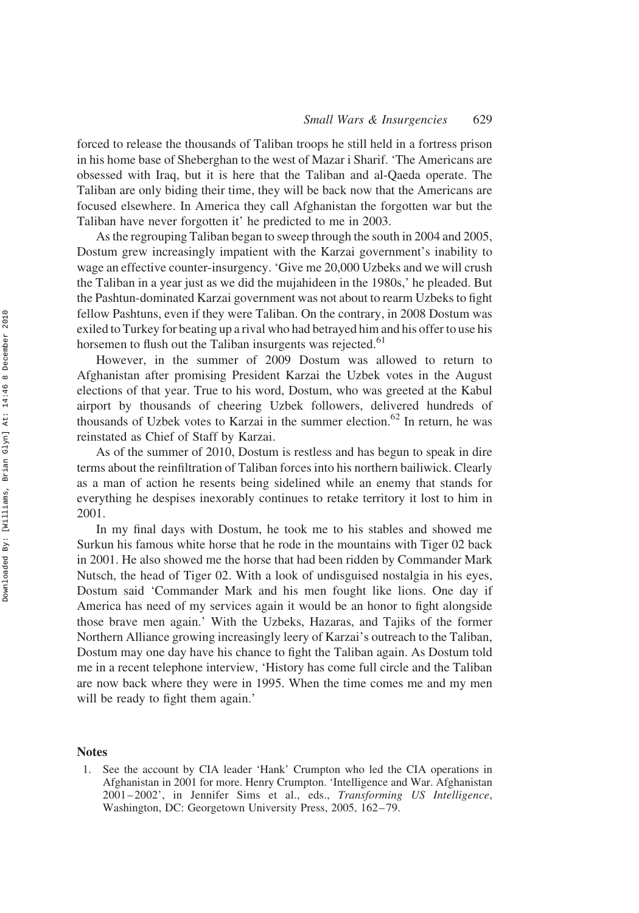forced to release the thousands of Taliban troops he still held in a fortress prison in his home base of Sheberghan to the west of Mazar i Sharif. 'The Americans are obsessed with Iraq, but it is here that the Taliban and al-Qaeda operate. The Taliban are only biding their time, they will be back now that the Americans are focused elsewhere. In America they call Afghanistan the forgotten war but the Taliban have never forgotten it' he predicted to me in 2003.

As the regrouping Taliban began to sweep through the south in 2004 and 2005, Dostum grew increasingly impatient with the Karzai government's inability to wage an effective counter-insurgency. 'Give me 20,000 Uzbeks and we will crush the Taliban in a year just as we did the mujahideen in the 1980s,' he pleaded. But the Pashtun-dominated Karzai government was not about to rearm Uzbeks to fight fellow Pashtuns, even if they were Taliban. On the contrary, in 2008 Dostum was exiled to Turkey for beating up a rival who had betrayed him and his offer to use his horsemen to flush out the Taliban insurgents was rejected.<sup>61</sup>

However, in the summer of 2009 Dostum was allowed to return to Afghanistan after promising President Karzai the Uzbek votes in the August elections of that year. True to his word, Dostum, who was greeted at the Kabul airport by thousands of cheering Uzbek followers, delivered hundreds of thousands of Uzbek votes to Karzai in the summer election.<sup>62</sup> In return, he was reinstated as Chief of Staff by Karzai.

As of the summer of 2010, Dostum is restless and has begun to speak in dire terms about the reinfiltration of Taliban forces into his northern bailiwick. Clearly as a man of action he resents being sidelined while an enemy that stands for everything he despises inexorably continues to retake territory it lost to him in 2001.

In my final days with Dostum, he took me to his stables and showed me Surkun his famous white horse that he rode in the mountains with Tiger 02 back in 2001. He also showed me the horse that had been ridden by Commander Mark Nutsch, the head of Tiger 02. With a look of undisguised nostalgia in his eyes, Dostum said 'Commander Mark and his men fought like lions. One day if America has need of my services again it would be an honor to fight alongside those brave men again.' With the Uzbeks, Hazaras, and Tajiks of the former Northern Alliance growing increasingly leery of Karzai's outreach to the Taliban, Dostum may one day have his chance to fight the Taliban again. As Dostum told me in a recent telephone interview, 'History has come full circle and the Taliban are now back where they were in 1995. When the time comes me and my men will be ready to fight them again.'

#### Notes

1. See the account by CIA leader 'Hank' Crumpton who led the CIA operations in Afghanistan in 2001 for more. Henry Crumpton. 'Intelligence and War. Afghanistan 2001–2002', in Jennifer Sims et al., eds., Transforming US Intelligence, Washington, DC: Georgetown University Press, 2005, 162–79.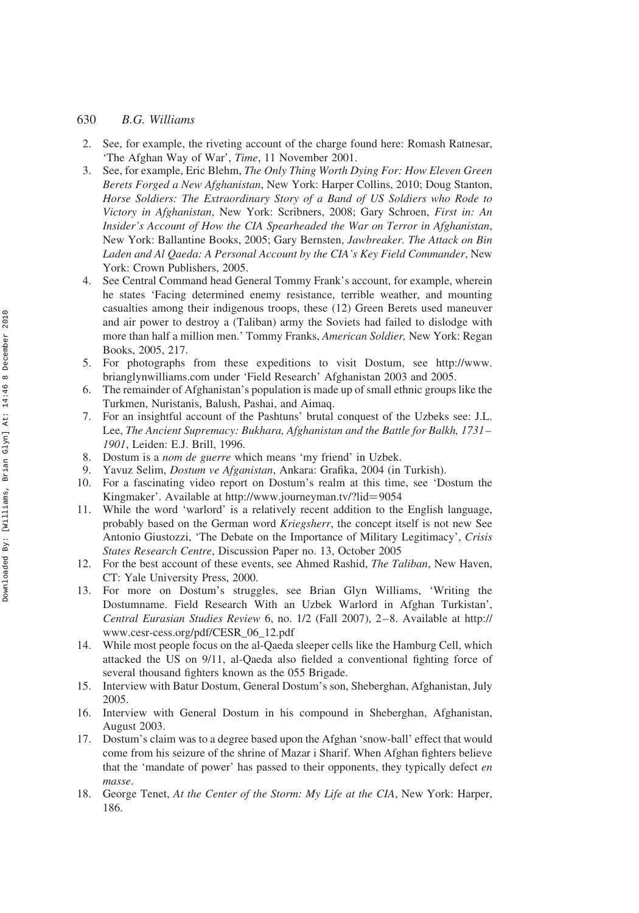- 2. See, for example, the riveting account of the charge found here: Romash Ratnesar, 'The Afghan Way of War', Time, 11 November 2001.
- 3. See, for example, Eric Blehm, The Only Thing Worth Dying For: How Eleven Green Berets Forged a New Afghanistan, New York: Harper Collins, 2010; Doug Stanton, Horse Soldiers: The Extraordinary Story of a Band of US Soldiers who Rode to Victory in Afghanistan, New York: Scribners, 2008; Gary Schroen, First in: An Insider's Account of How the CIA Spearheaded the War on Terror in Afghanistan, New York: Ballantine Books, 2005; Gary Bernsten, Jawbreaker. The Attack on Bin Laden and Al Qaeda: A Personal Account by the CIA's Key Field Commander, New York: Crown Publishers, 2005.
- 4. See Central Command head General Tommy Frank's account, for example, wherein he states 'Facing determined enemy resistance, terrible weather, and mounting casualties among their indigenous troops, these (12) Green Berets used maneuver and air power to destroy a (Taliban) army the Soviets had failed to dislodge with more than half a million men.' Tommy Franks, American Soldier, New York: Regan Books, 2005, 217.
- 5. For photographs from these expeditions to visit Dostum, see http://www. brianglynwilliams.com under 'Field Research' Afghanistan 2003 and 2005.
- 6. The remainder of Afghanistan's population is made up of small ethnic groups like the Turkmen, Nuristanis, Balush, Pashai, and Aimaq.
- 7. For an insightful account of the Pashtuns' brutal conquest of the Uzbeks see: J.L. Lee, The Ancient Supremacy: Bukhara, Afghanistan and the Battle for Balkh, 1731– 1901, Leiden: E.J. Brill, 1996.
- 8. Dostum is a nom de guerre which means 'my friend' in Uzbek.
- 9. Yavuz Selim, Dostum ve Afganistan, Ankara: Grafika, 2004 (in Turkish).
- 10. For a fascinating video report on Dostum's realm at this time, see 'Dostum the Kingmaker'. Available at http://www.journeyman.tv/?lid=9054
- 11. While the word 'warlord' is a relatively recent addition to the English language, probably based on the German word Kriegsherr, the concept itself is not new See Antonio Giustozzi, 'The Debate on the Importance of Military Legitimacy', Crisis States Research Centre, Discussion Paper no. 13, October 2005
- 12. For the best account of these events, see Ahmed Rashid, The Taliban, New Haven, CT: Yale University Press, 2000.
- 13. For more on Dostum's struggles, see Brian Glyn Williams, 'Writing the Dostumname. Field Research With an Uzbek Warlord in Afghan Turkistan', Central Eurasian Studies Review 6, no. 1/2 (Fall 2007), 2–8. Available at http:// www.cesr-cess.org/pdf/CESR\_06\_12.pdf
- 14. While most people focus on the al-Qaeda sleeper cells like the Hamburg Cell, which attacked the US on 9/11, al-Qaeda also fielded a conventional fighting force of several thousand fighters known as the 055 Brigade.
- 15. Interview with Batur Dostum, General Dostum's son, Sheberghan, Afghanistan, July 2005.
- 16. Interview with General Dostum in his compound in Sheberghan, Afghanistan, August 2003.
- 17. Dostum's claim was to a degree based upon the Afghan 'snow-ball' effect that would come from his seizure of the shrine of Mazar i Sharif. When Afghan fighters believe that the 'mandate of power' has passed to their opponents, they typically defect en masse.
- 18. George Tenet, At the Center of the Storm: My Life at the CIA, New York: Harper, 186.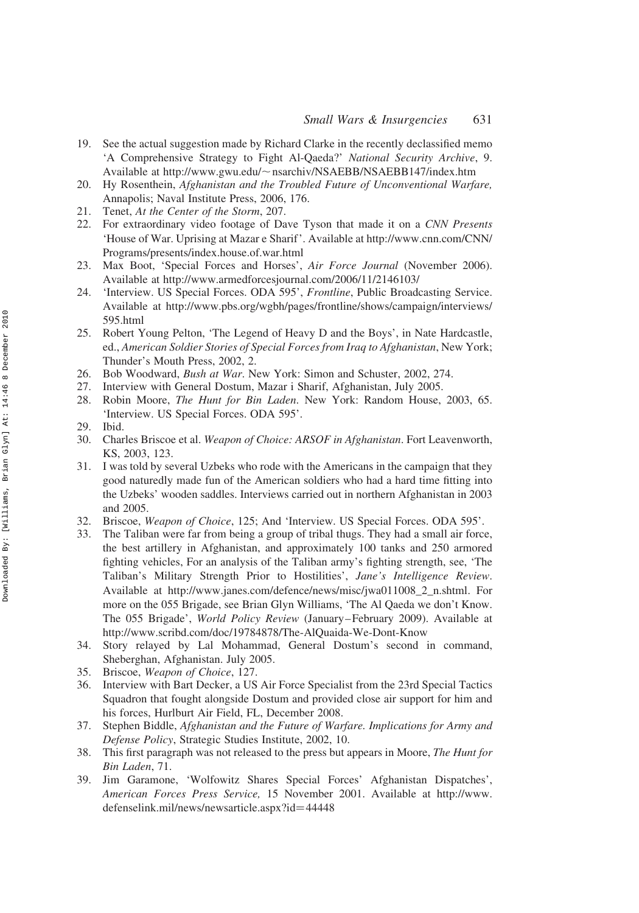- 19. See the actual suggestion made by Richard Clarke in the recently declassified memo 'A Comprehensive Strategy to Fight Al-Qaeda?' National Security Archive, 9. Available at http://www.gwu.edu/~nsarchiv/NSAEBB/NSAEBB147/index.htm
- 20. Hy Rosenthein, Afghanistan and the Troubled Future of Unconventional Warfare, Annapolis; Naval Institute Press, 2006, 176.
- 21. Tenet, At the Center of the Storm, 207.
- 22. For extraordinary video footage of Dave Tyson that made it on a CNN Presents 'House of War. Uprising at Mazar e Sharif'. Available at http://www.cnn.com/CNN/ Programs/presents/index.house.of.war.html
- 23. Max Boot, 'Special Forces and Horses', Air Force Journal (November 2006). Available at http://www.armedforcesjournal.com/2006/11/2146103/
- 24. 'Interview. US Special Forces. ODA 595', Frontline, Public Broadcasting Service. Available at http://www.pbs.org/wgbh/pages/frontline/shows/campaign/interviews/ 595.html
- 25. Robert Young Pelton, 'The Legend of Heavy D and the Boys', in Nate Hardcastle, ed., American Soldier Stories of Special Forces from Iraq to Afghanistan, New York; Thunder's Mouth Press, 2002, 2.
- 26. Bob Woodward, Bush at War. New York: Simon and Schuster, 2002, 274.
- 27. Interview with General Dostum, Mazar i Sharif, Afghanistan, July 2005.
- 28. Robin Moore, The Hunt for Bin Laden. New York: Random House, 2003, 65. 'Interview. US Special Forces. ODA 595'.
- 29. Ibid.
- 30. Charles Briscoe et al. Weapon of Choice: ARSOF in Afghanistan. Fort Leavenworth, KS, 2003, 123.
- 31. I was told by several Uzbeks who rode with the Americans in the campaign that they good naturedly made fun of the American soldiers who had a hard time fitting into the Uzbeks' wooden saddles. Interviews carried out in northern Afghanistan in 2003 and 2005.
- 32. Briscoe, Weapon of Choice, 125; And 'Interview. US Special Forces. ODA 595'.
- 33. The Taliban were far from being a group of tribal thugs. They had a small air force, the best artillery in Afghanistan, and approximately 100 tanks and 250 armored fighting vehicles, For an analysis of the Taliban army's fighting strength, see, 'The Taliban's Military Strength Prior to Hostilities', Jane's Intelligence Review. Available at http://www.janes.com/defence/news/misc/jwa011008\_2\_n.shtml. For more on the 055 Brigade, see Brian Glyn Williams, 'The Al Qaeda we don't Know. The 055 Brigade', World Policy Review (January–February 2009). Available at http://www.scribd.com/doc/19784878/The-AlQuaida-We-Dont-Know
- 34. Story relayed by Lal Mohammad, General Dostum's second in command, Sheberghan, Afghanistan. July 2005.
- 35. Briscoe, Weapon of Choice, 127.
- 36. Interview with Bart Decker, a US Air Force Specialist from the 23rd Special Tactics Squadron that fought alongside Dostum and provided close air support for him and his forces, Hurlburt Air Field, FL, December 2008.
- 37. Stephen Biddle, Afghanistan and the Future of Warfare. Implications for Army and Defense Policy, Strategic Studies Institute, 2002, 10.
- 38. This first paragraph was not released to the press but appears in Moore, The Hunt for Bin Laden, 71.
- 39. Jim Garamone, 'Wolfowitz Shares Special Forces' Afghanistan Dispatches', American Forces Press Service, 15 November 2001. Available at http://www. defenselink.mil/news/newsarticle.aspx?id=44448